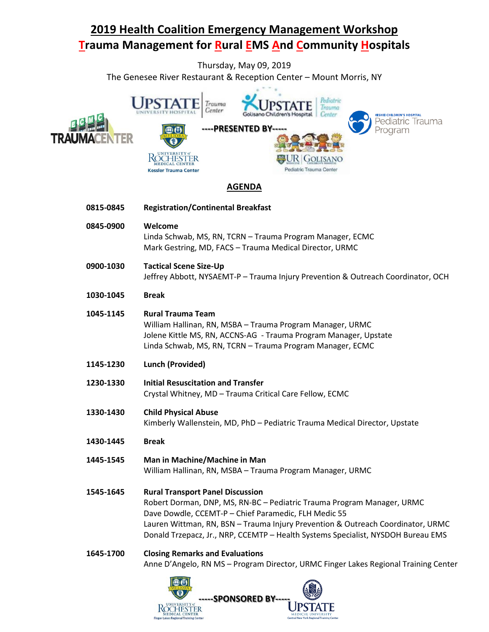# **2019 Health Coalition Emergency Management Workshop Trauma Management for Rural EMS And Community Hospitals**

Thursday, May 09, 2019 The Genesee River Restaurant & Reception Center – Mount Morris, NY



### **AGENDA**

| 0815-0845 | <b>Registration/Continental Breakfast</b>                                                                                                                                                                                                                                                                                                        |
|-----------|--------------------------------------------------------------------------------------------------------------------------------------------------------------------------------------------------------------------------------------------------------------------------------------------------------------------------------------------------|
| 0845-0900 | Welcome<br>Linda Schwab, MS, RN, TCRN - Trauma Program Manager, ECMC<br>Mark Gestring, MD, FACS - Trauma Medical Director, URMC                                                                                                                                                                                                                  |
| 0900-1030 | <b>Tactical Scene Size-Up</b><br>Jeffrey Abbott, NYSAEMT-P - Trauma Injury Prevention & Outreach Coordinator, OCH                                                                                                                                                                                                                                |
| 1030-1045 | <b>Break</b>                                                                                                                                                                                                                                                                                                                                     |
| 1045-1145 | <b>Rural Trauma Team</b><br>William Hallinan, RN, MSBA - Trauma Program Manager, URMC<br>Jolene Kittle MS, RN, ACCNS-AG - Trauma Program Manager, Upstate<br>Linda Schwab, MS, RN, TCRN - Trauma Program Manager, ECMC                                                                                                                           |
| 1145-1230 | <b>Lunch (Provided)</b>                                                                                                                                                                                                                                                                                                                          |
| 1230-1330 | <b>Initial Resuscitation and Transfer</b><br>Crystal Whitney, MD - Trauma Critical Care Fellow, ECMC                                                                                                                                                                                                                                             |
| 1330-1430 | <b>Child Physical Abuse</b><br>Kimberly Wallenstein, MD, PhD - Pediatric Trauma Medical Director, Upstate                                                                                                                                                                                                                                        |
| 1430-1445 | <b>Break</b>                                                                                                                                                                                                                                                                                                                                     |
| 1445-1545 | Man in Machine/Machine in Man<br>William Hallinan, RN, MSBA - Trauma Program Manager, URMC                                                                                                                                                                                                                                                       |
| 1545-1645 | <b>Rural Transport Panel Discussion</b><br>Robert Dorman, DNP, MS, RN-BC - Pediatric Trauma Program Manager, URMC<br>Dave Dowdle, CCEMT-P - Chief Paramedic, FLH Medic 55<br>Lauren Wittman, RN, BSN - Trauma Injury Prevention & Outreach Coordinator, URMC<br>Donald Trzepacz, Jr., NRP, CCEMTP - Health Systems Specialist, NYSDOH Bureau EMS |
| 1645-1700 | <b>Closing Remarks and Evaluations</b><br>Anne D'Angelo, RN MS - Program Director, URMC Finger Lakes Regional Training Center                                                                                                                                                                                                                    |